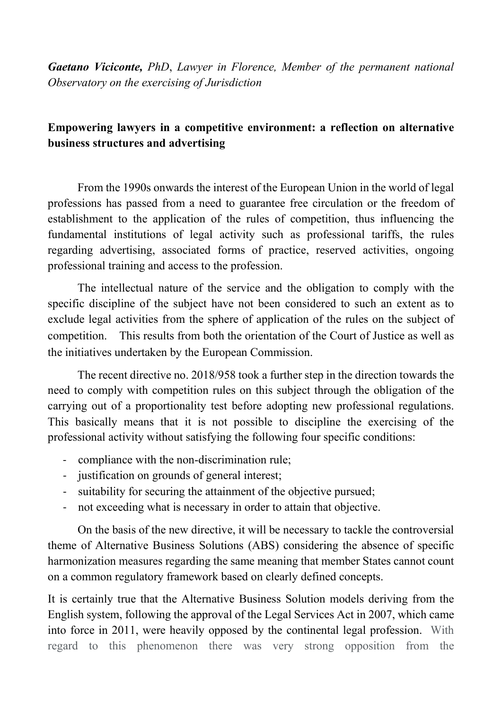*Gaetano Viciconte, PhD*, *Lawyer in Florence, Member of the permanent national Observatory on the exercising of Jurisdiction*

## **Empowering lawyers in a competitive environment: a reflection on alternative business structures and advertising**

From the 1990s onwards the interest of the European Union in the world of legal professions has passed from a need to guarantee free circulation or the freedom of establishment to the application of the rules of competition, thus influencing the fundamental institutions of legal activity such as professional tariffs, the rules regarding advertising, associated forms of practice, reserved activities, ongoing professional training and access to the profession.

The intellectual nature of the service and the obligation to comply with the specific discipline of the subject have not been considered to such an extent as to exclude legal activities from the sphere of application of the rules on the subject of competition. This results from both the orientation of the Court of Justice as well as the initiatives undertaken by the European Commission.

The recent directive no. 2018/958 took a further step in the direction towards the need to comply with competition rules on this subject through the obligation of the carrying out of a proportionality test before adopting new professional regulations. This basically means that it is not possible to discipline the exercising of the professional activity without satisfying the following four specific conditions:

- compliance with the non-discrimination rule;
- justification on grounds of general interest;
- suitability for securing the attainment of the objective pursued;
- not exceeding what is necessary in order to attain that objective.

On the basis of the new directive, it will be necessary to tackle the controversial theme of Alternative Business Solutions (ABS) considering the absence of specific harmonization measures regarding the same meaning that member States cannot count on a common regulatory framework based on clearly defined concepts.

It is certainly true that the Alternative Business Solution models deriving from the English system, following the approval of the Legal Services Act in 2007, which came into force in 2011, were heavily opposed by the continental legal profession. With regard to this phenomenon there was very strong opposition from the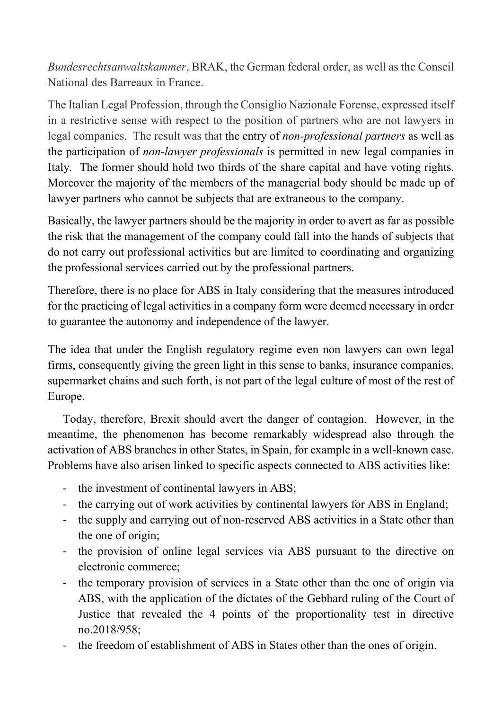*Bundesrechtsanwaltskammer*, BRAK, the German federal order, as well as the Conseil National des Barreaux in France.

The Italian Legal Profession, through the Consiglio Nazionale Forense, expressed itself in a restrictive sense with respect to the position of partners who are not lawyers in legal companies. The result was that the entry of *non-professional partners* as well as the participation of *non-lawyer professionals* is permitted in new legal companies in Italy*.* The former should hold two thirds of the share capital and have voting rights. Moreover the majority of the members of the managerial body should be made up of lawyer partners who cannot be subjects that are extraneous to the company.

Basically, the lawyer partners should be the majority in order to avert as far as possible the risk that the management of the company could fall into the hands of subjects that do not carry out professional activities but are limited to coordinating and organizing the professional services carried out by the professional partners.

Therefore, there is no place for ABS in Italy considering that the measures introduced for the practicing of legal activities in a company form were deemed necessary in order to guarantee the autonomy and independence of the lawyer.

The idea that under the English regulatory regime even non lawyers can own legal firms, consequently giving the green light in this sense to banks, insurance companies, supermarket chains and such forth, is not part of the legal culture of most of the rest of Europe.

Today, therefore, Brexit should avert the danger of contagion. However, in the meantime, the phenomenon has become remarkably widespread also through the activation of ABS branches in other States, in Spain, for example in a well-known case. Problems have also arisen linked to specific aspects connected to ABS activities like:

- the investment of continental lawyers in ABS;
- the carrying out of work activities by continental lawyers for ABS in England;
- the supply and carrying out of non-reserved ABS activities in a State other than the one of origin;
- the provision of online legal services via ABS pursuant to the directive on electronic commerce;
- the temporary provision of services in a State other than the one of origin via ABS, with the application of the dictates of the Gebhard ruling of the Court of Justice that revealed the 4 points of the proportionality test in directive no.2018/958;
- the freedom of establishment of ABS in States other than the ones of origin.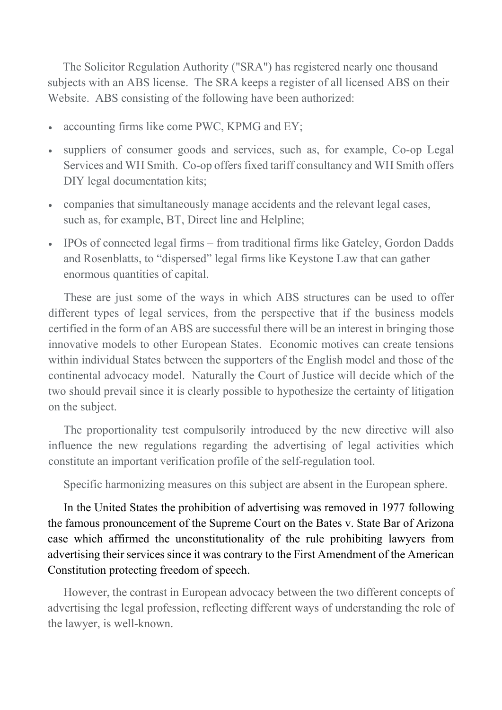The Solicitor Regulation Authority ("SRA") has registered nearly one thousand subjects with an ABS license. The SRA keeps a register of all licensed ABS on their Website. ABS consisting of the following have been authorized:

- accounting firms like come PWC, KPMG and EY;
- suppliers of consumer goods and services, such as, for example, Co-op Legal Services and WH Smith. Co-op offers fixed tariff consultancy and WH Smith offers DIY legal documentation kits;
- companies that simultaneously manage accidents and the relevant legal cases, such as, for example, BT, Direct line and Helpline;
- IPOs of connected legal firms from traditional firms like Gateley, Gordon Dadds and Rosenblatts, to "dispersed" legal firms like Keystone Law that can gather enormous quantities of capital.

These are just some of the ways in which ABS structures can be used to offer different types of legal services, from the perspective that if the business models certified in the form of an ABS are successful there will be an interest in bringing those innovative models to other European States. Economic motives can create tensions within individual States between the supporters of the English model and those of the continental advocacy model. Naturally the Court of Justice will decide which of the two should prevail since it is clearly possible to hypothesize the certainty of litigation on the subject.

The proportionality test compulsorily introduced by the new directive will also influence the new regulations regarding the advertising of legal activities which constitute an important verification profile of the self-regulation tool.

Specific harmonizing measures on this subject are absent in the European sphere.

In the United States the prohibition of advertising was removed in 1977 following the famous pronouncement of the Supreme Court on the Bates v. State Bar of Arizona case which affirmed the unconstitutionality of the rule prohibiting lawyers from advertising their services since it was contrary to the First Amendment of the American Constitution protecting freedom of speech.

However, the contrast in European advocacy between the two different concepts of advertising the legal profession, reflecting different ways of understanding the role of the lawyer, is well-known.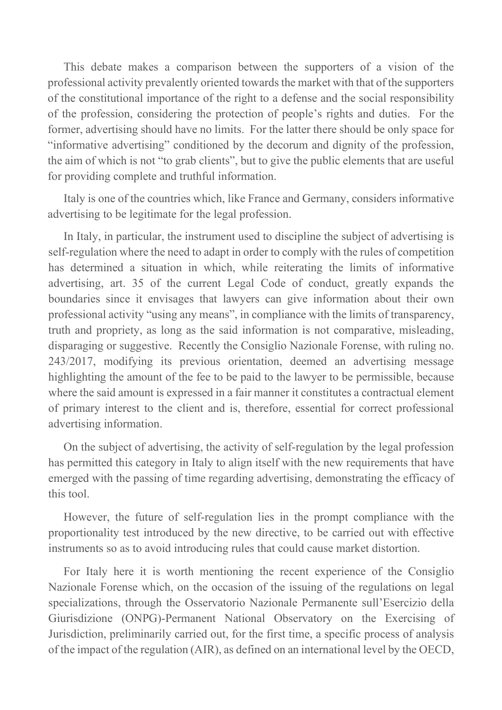This debate makes a comparison between the supporters of a vision of the professional activity prevalently oriented towards the market with that of the supporters of the constitutional importance of the right to a defense and the social responsibility of the profession, considering the protection of people's rights and duties. For the former, advertising should have no limits. For the latter there should be only space for "informative advertising" conditioned by the decorum and dignity of the profession, the aim of which is not "to grab clients", but to give the public elements that are useful for providing complete and truthful information.

Italy is one of the countries which, like France and Germany, considers informative advertising to be legitimate for the legal profession.

In Italy, in particular, the instrument used to discipline the subject of advertising is self-regulation where the need to adapt in order to comply with the rules of competition has determined a situation in which, while reiterating the limits of informative advertising, art. 35 of the current Legal Code of conduct, greatly expands the boundaries since it envisages that lawyers can give information about their own professional activity "using any means", in compliance with the limits of transparency, truth and propriety, as long as the said information is not comparative, misleading, disparaging or suggestive. Recently the Consiglio Nazionale Forense, with ruling no. 243/2017, modifying its previous orientation, deemed an advertising message highlighting the amount of the fee to be paid to the lawyer to be permissible, because where the said amount is expressed in a fair manner it constitutes a contractual element of primary interest to the client and is, therefore, essential for correct professional advertising information.

On the subject of advertising, the activity of self-regulation by the legal profession has permitted this category in Italy to align itself with the new requirements that have emerged with the passing of time regarding advertising, demonstrating the efficacy of this tool.

However, the future of self-regulation lies in the prompt compliance with the proportionality test introduced by the new directive, to be carried out with effective instruments so as to avoid introducing rules that could cause market distortion.

For Italy here it is worth mentioning the recent experience of the Consiglio Nazionale Forense which, on the occasion of the issuing of the regulations on legal specializations, through the Osservatorio Nazionale Permanente sull'Esercizio della Giurisdizione (ONPG)-Permanent National Observatory on the Exercising of Jurisdiction, preliminarily carried out, for the first time, a specific process of analysis of the impact of the regulation (AIR), as defined on an international level by the OECD,